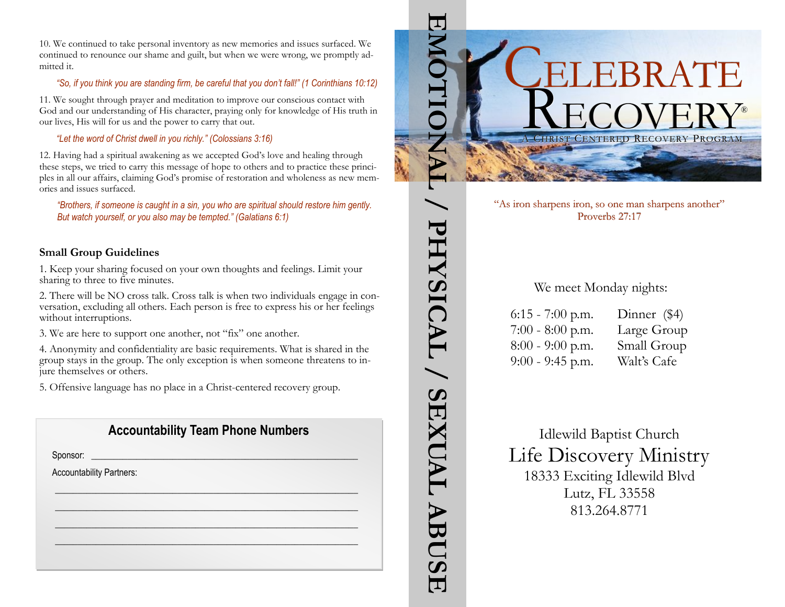10. We continued to take personal inventory as new memories and issues surfaced. We continued to renounce our shame and guilt, but when we were wrong, we promptly admitted it.

### *"So, if you think you are standing firm, be careful that you don't fall!" (1 Corinthians 10:12)*

11. We sought through prayer and meditation to improve our conscious contact with God and our understanding of His character, praying only for knowledge of His truth in our lives, His will for us and the power to carry that out.

*"Let the word of Christ dwell in you richly." (Colossians 3:16)*

12. Having had a spiritual awakening as we accepted God's love and healing through these steps, we tried to carry this message of hope to others and to practice these principles in all our affairs, claiming God's promise of restoration and wholeness as new memories and issues surfaced.

*"Brothers, if someone is caught in a sin, you who are spiritual should restore him gently. But watch yourself, or you also may be tempted." (Galatians 6:1)*

# **Small Group Guidelines**

1. Keep your sharing focused on your own thoughts and feelings. Limit your sharing to three to five minutes.

2. There will be NO cross talk. Cross talk is when two individuals engage in conversation, excluding all others. Each person is free to express his or her feelings without interruptions.

3. We are here to support one another, not "fix" one another.

4. Anonymity and confidentiality are basic requirements. What is shared in the group stays in the group. The only exception is when someone threatens to injure themselves or others.

5. Offensive language has no place in a Christ-centered recovery group.

# **Accountability Team Phone Numbers**

 $\mathscr{L}_\mathscr{L} \mathscr{L}_\mathscr{L} \mathscr{L}_\mathscr{L} \mathscr{L}_\mathscr{L}$  $\frac{1}{2}$  ,  $\frac{1}{2}$  ,  $\frac{1}{2}$  ,  $\frac{1}{2}$  ,  $\frac{1}{2}$  ,  $\frac{1}{2}$  ,  $\frac{1}{2}$  ,  $\frac{1}{2}$  ,  $\frac{1}{2}$  ,  $\frac{1}{2}$ \_\_\_\_\_\_\_\_\_\_\_\_\_\_\_\_\_\_\_\_\_\_\_\_\_\_\_\_\_\_\_\_\_\_\_\_\_\_\_\_\_\_\_\_\_\_\_\_\_\_\_\_\_\_\_\_\_\_\_\_\_\_\_\_\_\_\_ \_\_\_\_\_\_\_\_\_\_\_\_\_\_\_\_\_\_\_\_\_\_\_\_\_\_\_\_\_\_\_\_\_\_\_\_\_\_\_\_\_\_\_\_\_\_\_\_\_\_\_\_\_\_\_\_\_\_\_\_\_\_\_\_\_\_\_

Sponsor: \_\_\_\_\_\_\_\_\_\_\_\_\_\_\_\_\_\_\_\_\_\_\_\_\_\_\_\_\_\_\_\_\_\_\_\_\_\_\_\_\_\_\_\_\_\_\_\_\_\_\_\_\_\_\_\_\_\_\_

Accountability Partners:



"As iron sharpens iron, so one man sharpens another" Proverbs 27:17

# We meet Monday nights:

6:15 - 7:00 p.m. Dinner (\$4) 7:00 - 8:00 p.m. Large Group 8:00 - 9:00 p.m. Small Group 9:00 - 9:45 p.m. Walt's Cafe

PHYSICAL / SEXUAL

ABUSE

Idlewild Baptist Church Life Discovery Ministry 18333 Exciting Idlewild Blvd Lutz, FL 33558 813.264.8771